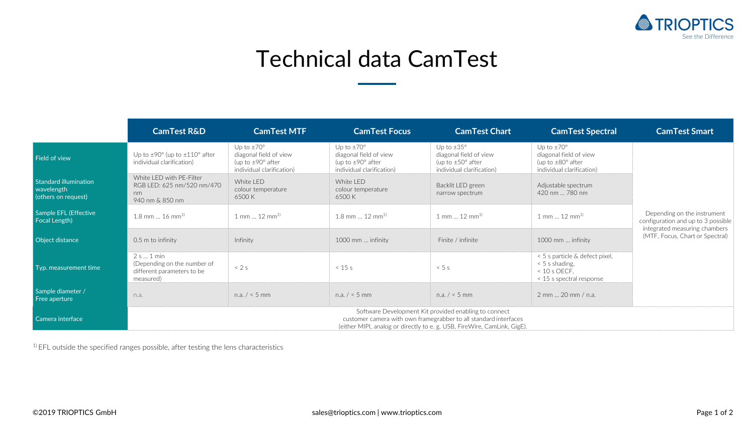

## Technical data CamTest

|                                                            | <b>CamTest R&amp;D</b>                                                                                                                                                                                | <b>CamTest MTF</b>                                                                                             | <b>CamTest Focus</b>                                                                                       | <b>CamTest Chart</b>                                                                                       | <b>CamTest Spectral</b>                                                                                    | <b>CamTest Smart</b>                                                                                                                  |  |  |
|------------------------------------------------------------|-------------------------------------------------------------------------------------------------------------------------------------------------------------------------------------------------------|----------------------------------------------------------------------------------------------------------------|------------------------------------------------------------------------------------------------------------|------------------------------------------------------------------------------------------------------------|------------------------------------------------------------------------------------------------------------|---------------------------------------------------------------------------------------------------------------------------------------|--|--|
| Field of view                                              | Up to $\pm$ 90° (up to $\pm$ 110° after<br>individual clarification)                                                                                                                                  | Up to $\pm 70^\circ$<br>diagonal field of view<br>(up to $\pm$ 90 $\degree$ after<br>individual clarification) | Up to $\pm 70^\circ$<br>diagonal field of view<br>(up to $\pm 90^\circ$ after<br>individual clarification) | Up to $\pm 35^\circ$<br>diagonal field of view<br>(up to $\pm 50^\circ$ after<br>individual clarification) | Up to $\pm 70^\circ$<br>diagonal field of view<br>(up to $\pm 80^\circ$ after<br>individual clarification) | Depending on the instrument<br>configuration and up to 3 possible<br>integrated measuring chambers<br>(MTF, Focus, Chart or Spectral) |  |  |
| Standard illumination<br>wavelength<br>(others on request) | White LED with PE-Filter<br>RGB LED: 625 nm/520 nm/470<br>nm<br>940 nm & 850 nm                                                                                                                       | White LED<br>colour temperature<br>6500 K                                                                      | White I FD<br>colour temperature<br>6500 K                                                                 | Backlit LED green<br>narrow spectrum                                                                       | Adjustable spectrum<br>420 nm  780 nm                                                                      |                                                                                                                                       |  |  |
| Sample EFL (Effective<br>Focal Length)                     | $1.8$ mm  16 mm <sup>1)</sup>                                                                                                                                                                         | $1$ mm $12$ mm <sup>1)</sup>                                                                                   | $1.8$ mm $12$ mm <sup>1)</sup>                                                                             | $1$ mm $12$ mm <sup>1)</sup>                                                                               | $1$ mm $12$ mm <sup>1)</sup>                                                                               |                                                                                                                                       |  |  |
| Object distance                                            | 0.5 m to infinity                                                                                                                                                                                     | Infinity                                                                                                       | 1000 mm  infinity                                                                                          | Finite / infinite                                                                                          | 1000 mm  infinity                                                                                          |                                                                                                                                       |  |  |
| Typ. measurement time                                      | 2 s  1 min<br>(Depending on the number of<br>different parameters to be<br>measured)                                                                                                                  | < 2s                                                                                                           | < 15 s                                                                                                     | < 5s                                                                                                       | < 5 s particle & defect pixel,<br>$< 5$ s shading.<br>$< 10$ s OECF.<br>< 15 s spectral response           |                                                                                                                                       |  |  |
| Sample diameter /<br>Free aperture                         | n.a.                                                                                                                                                                                                  | n.a. $/ < 5$ mm                                                                                                | n.a. $/ < 5$ mm                                                                                            | n.a. $/ < 5$ mm                                                                                            | 2 mm  20 mm / n.a.                                                                                         |                                                                                                                                       |  |  |
| Camera interface                                           | Software Development Kit provided enabling to connect<br>customer camera with own framegrabber to all standard interfaces<br>(either MIPI, analog or directly to e. g. USB, FireWire, CamLink, GigE). |                                                                                                                |                                                                                                            |                                                                                                            |                                                                                                            |                                                                                                                                       |  |  |

<sup>1)</sup> EFL outside the specified ranges possible, after testing the lens characteristics